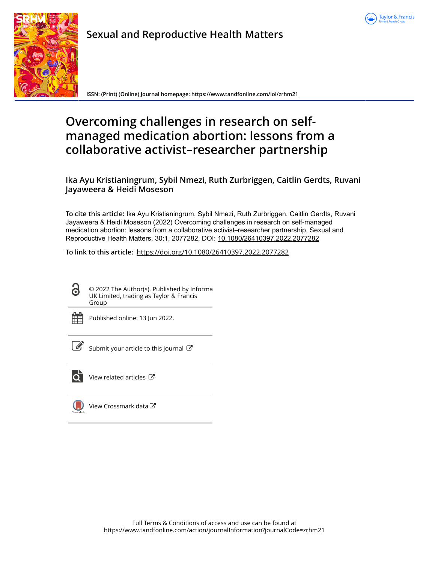



**Sexual and Reproductive Health Matters**

**ISSN: (Print) (Online) Journal homepage:<https://www.tandfonline.com/loi/zrhm21>**

# **Overcoming challenges in research on selfmanaged medication abortion: lessons from a collaborative activist–researcher partnership**

**Ika Ayu Kristianingrum, Sybil Nmezi, Ruth Zurbriggen, Caitlin Gerdts, Ruvani Jayaweera & Heidi Moseson**

**To cite this article:** Ika Ayu Kristianingrum, Sybil Nmezi, Ruth Zurbriggen, Caitlin Gerdts, Ruvani Jayaweera & Heidi Moseson (2022) Overcoming challenges in research on self-managed medication abortion: lessons from a collaborative activist–researcher partnership, Sexual and Reproductive Health Matters, 30:1, 2077282, DOI: [10.1080/26410397.2022.2077282](https://www.tandfonline.com/action/showCitFormats?doi=10.1080/26410397.2022.2077282)

**To link to this article:** <https://doi.org/10.1080/26410397.2022.2077282>

ര

© 2022 The Author(s). Published by Informa UK Limited, trading as Taylor & Francis Group



Published online: 13 Jun 2022.



 $\mathbb{Z}$  [Submit your article to this journal](https://www.tandfonline.com/action/authorSubmission?journalCode=zrhm21&show=instructions)  $\mathbb{Z}$ 



[View related articles](https://www.tandfonline.com/doi/mlt/10.1080/26410397.2022.2077282) 



[View Crossmark data](http://crossmark.crossref.org/dialog/?doi=10.1080/26410397.2022.2077282&domain=pdf&date_stamp=2022-06-13)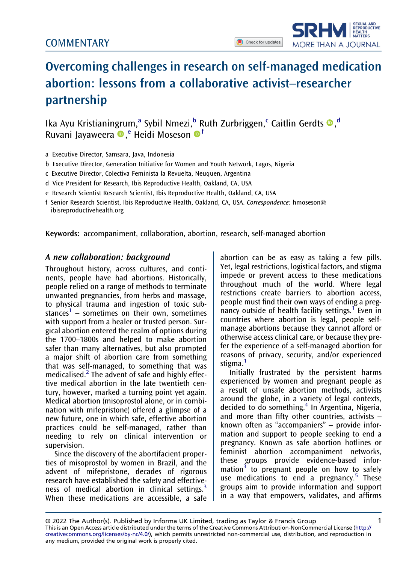

# Overcoming challenges in research on self-managed medication abortion: lessons from a collaborative activist–researcher partnership

Ika Ayu Kristianingrum,<sup>a</sup> Sybil Nmezi,<sup>b</sup> Ruth Zurbriggen,<sup>c</sup> Caitlin Gerdts <sup>®</sup>,<sup>d</sup> Ruvani Jayaweera ®,<sup>e</sup> Heidi Moseson ®<sup>f</sup>

- a Executive Director, Samsara, Java, Indonesia
- b Executive Director, Generation Initiative for Women and Youth Network, Lagos, Nigeria
- c Executive Director, Colectiva Feminista la Revuelta, Neuquen, Argentina
- d Vice President for Research, Ibis Reproductive Health, Oakland, CA, USA
- e Research Scientist Research Scientist, Ibis Reproductive Health, Oakland, CA, USA
- f Senior Research Scientist, Ibis Reproductive Health, Oakland, CA, USA. Correspondence: [hmoseson@](mailto:hmoseson@ibisreproductivehealth.org) [ibisreproductivehealth.org](mailto:hmoseson@ibisreproductivehealth.org)

Keywords: accompaniment, collaboration, abortion, research, self-managed abortion

## A new collaboration: background

Throughout history, across cultures, and continents, people have had abortions. Historically, people relied on a range of methods to terminate unwanted pregnancies, from herbs and massage, to physical trauma and ingestion of toxic sub-stances<sup>[1](#page-6-0)</sup> – sometimes on their own, sometimes with support from a healer or trusted person. Surgical abortion entered the realm of options during the 1700–1800s and helped to make abortion safer than many alternatives, but also prompted a major shift of abortion care from something that was self-managed, to something that was medicalised. $<sup>2</sup>$  The advent of safe and highly effec-</sup> tive medical abortion in the late twentieth century, however, marked a turning point yet again. Medical abortion (misoprostol alone, or in combination with mifepristone) offered a glimpse of a new future, one in which safe, effective abortion practices could be self-managed, rather than needing to rely on clinical intervention or supervision.

<span id="page-1-1"></span>Since the discovery of the abortifacient properties of misoprostol by women in Brazil, and the advent of mifepristone, decades of rigorous research have established the safety and effective-ness of medical abortion in clinical settings.<sup>[3](#page-6-2)</sup> When these medications are accessible, a safe abortion can be as easy as taking a few pills. Yet, legal restrictions, logistical factors, and stigma impede or prevent access to these medications throughout much of the world. Where legal restrictions create barriers to abortion access, people must find their own ways of ending a preg-nancy outside of health facility settings.<sup>[1](#page-6-0)</sup> Even in countries where abortion is legal, people selfmanage abortions because they cannot afford or otherwise access clinical care, or because they prefer the experience of a self-managed abortion for reasons of privacy, security, and/or experienced stigma.<sup>[1](#page-6-0)</sup>

<span id="page-1-4"></span><span id="page-1-3"></span><span id="page-1-2"></span><span id="page-1-0"></span>Initially frustrated by the persistent harms experienced by women and pregnant people as a result of unsafe abortion methods, activists around the globe, in a variety of legal contexts, decided to do something.<sup>[4](#page-6-3)</sup> In Argentina, Nigeria, and more than fifty other countries, activists – known often as "accompaniers" – provide information and support to people seeking to end a pregnancy. Known as safe abortion hotlines or feminist abortion accompaniment networks, these groups provide evidence-based infor-mation<sup>[3](#page-6-2)</sup> to pregnant people on how to safely use medications to end a pregnancy.<sup>[5](#page-6-4)</sup> These groups aim to provide information and support in a way that empowers, validates, and affirms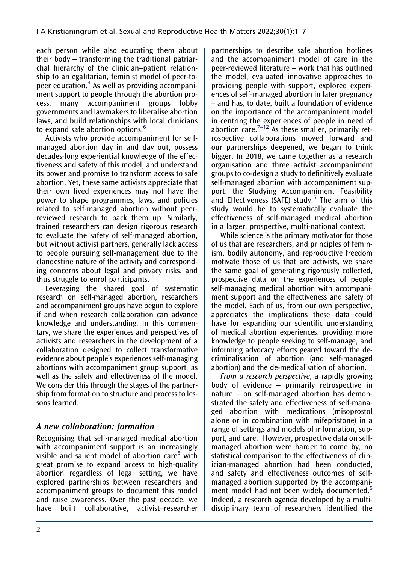each person while also educating them about their body – transforming the traditional patriarchal hierarchy of the clinician–patient relationship to an egalitarian, feminist model of peer-topeer education[.4](#page-6-3) As well as providing accompaniment support to people through the abortion process, many accompaniment groups lobby governments and lawmakers to liberalise abortion laws, and build relationships with local clinicians to expand safe abortion options.<sup>[6](#page-6-5)</sup>

<span id="page-2-0"></span>Activists who provide accompaniment for selfmanaged abortion day in and day out, possess decades-long experiential knowledge of the effectiveness and safety of this model, and understand its power and promise to transform access to safe abortion. Yet, these same activists appreciate that their own lived experiences may not have the power to shape programmes, laws, and policies related to self-managed abortion without peerreviewed research to back them up. Similarly, trained researchers can design rigorous research to evaluate the safety of self-managed abortion, but without activist partners, generally lack access to people pursuing self-management due to the clandestine nature of the activity and corresponding concerns about legal and privacy risks, and thus struggle to enrol participants.

Leveraging the shared goal of systematic research on self-managed abortion, researchers and accompaniment groups have begun to explore if and when research collaboration can advance knowledge and understanding. In this commentary, we share the experiences and perspectives of activists and researchers in the development of a collaboration designed to collect transformative evidence about people's experiences self-managing abortions with accompaniment group support, as well as the safety and effectiveness of the model. We consider this through the stages of the partnership from formation to structure and process to lessons learned.

## A new collaboration: formation

Recognising that self-managed medical abortion with accompaniment support is an increasingly visible and salient model of abortion care<sup>5</sup> with great promise to expand access to high-quality abortion regardless of legal setting, we have explored partnerships between researchers and accompaniment groups to document this model and raise awareness. Over the past decade, we have built collaborative, activist–researcher

<span id="page-2-1"></span>partnerships to describe safe abortion hotlines and the accompaniment model of care in the peer-reviewed literature – work that has outlined the model, evaluated innovative approaches to providing people with support, explored experiences of self-managed abortion in later pregnancy – and has, to date, built a foundation of evidence on the importance of the accompaniment model in centring the experiences of people in need of abortion care. $7-12$  As these smaller, primarily retrospective collaborations moved forward and our partnerships deepened, we began to think bigger. In 2018, we came together as a research organisation and three activist accompaniment groups to co-design a study to definitively evaluate self-managed abortion with accompaniment support: the Studying Accompaniment Feasibility and Effectiveness (SAFE) study. $5$  The aim of this study would be to systematically evaluate the effectiveness of self-managed medical abortion in a larger, prospective, multi-national context.

While science is the primary motivator for those of us that are researchers, and principles of feminism, bodily autonomy, and reproductive freedom motivate those of us that are activists, we share the same goal of generating rigorously collected, prospective data on the experiences of people self-managing medical abortion with accompaniment support and the effectiveness and safety of the model. Each of us, from our own perspective, appreciates the implications these data could have for expanding our scientific understanding of medical abortion experiences, providing more knowledge to people seeking to self-manage, and informing advocacy efforts geared toward the decriminalisation of abortion (and self-managed abortion) and the de-medicalisation of abortion.

From a research perspective, a rapidly growing body of evidence – primarily retrospective in nature – on self-managed abortion has demonstrated the safety and effectiveness of self-managed abortion with medications (misoprostol alone or in combination with mifepristone) in a range of settings and models of information, support, and care[.1](#page-6-0) However, prospective data on selfmanaged abortion were harder to come by, no statistical comparison to the effectiveness of clinician-managed abortion had been conducted, and safety and effectiveness outcomes of selfmanaged abortion supported by the accompani-ment model had not been widely documented.<sup>[5](#page-6-4)</sup> Indeed, a research agenda developed by a multidisciplinary team of researchers identified the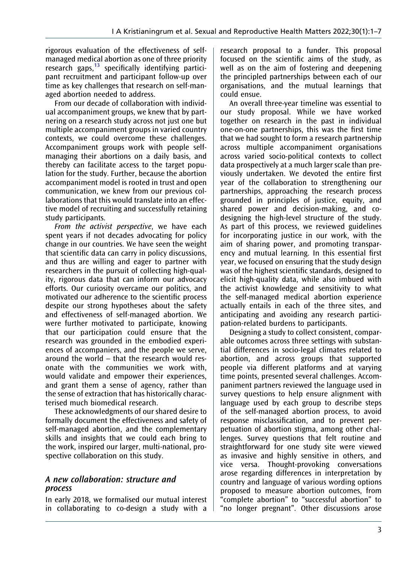<span id="page-3-0"></span>rigorous evaluation of the effectiveness of selfmanaged medical abortion as one of three priority research gaps, $13$  specifically identifying participant recruitment and participant follow-up over time as key challenges that research on self-managed abortion needed to address.

From our decade of collaboration with individual accompaniment groups, we knew that by partnering on a research study across not just one but multiple accompaniment groups in varied country contexts, we could overcome these challenges. Accompaniment groups work with people selfmanaging their abortions on a daily basis, and thereby can facilitate access to the target population for the study. Further, because the abortion accompaniment model is rooted in trust and open communication, we knew from our previous collaborations that this would translate into an effective model of recruiting and successfully retaining study participants.

From the activist perspective, we have each spent years if not decades advocating for policy change in our countries. We have seen the weight that scientific data can carry in policy discussions, and thus are willing and eager to partner with researchers in the pursuit of collecting high-quality, rigorous data that can inform our advocacy efforts. Our curiosity overcame our politics, and motivated our adherence to the scientific process despite our strong hypotheses about the safety and effectiveness of self-managed abortion. We were further motivated to participate, knowing that our participation could ensure that the research was grounded in the embodied experiences of accompaniers, and the people we serve, around the world – that the research would resonate with the communities we work with, would validate and empower their experiences, and grant them a sense of agency, rather than the sense of extraction that has historically characterised much biomedical research.

These acknowledgments of our shared desire to formally document the effectiveness and safety of self-managed abortion, and the complementary skills and insights that we could each bring to the work, inspired our larger, multi-national, prospective collaboration on this study.

## A new collaboration: structure and process

In early 2018, we formalised our mutual interest in collaborating to co-design a study with a research proposal to a funder. This proposal focused on the scientific aims of the study, as well as on the aim of fostering and deepening the principled partnerships between each of our organisations, and the mutual learnings that could ensue.

An overall three-year timeline was essential to our study proposal. While we have worked together on research in the past in individual one-on-one partnerships, this was the first time that we had sought to form a research partnership across multiple accompaniment organisations across varied socio-political contexts to collect data prospectively at a much larger scale than previously undertaken. We devoted the entire first year of the collaboration to strengthening our partnerships, approaching the research process grounded in principles of justice, equity, and shared power and decision-making, and codesigning the high-level structure of the study. As part of this process, we reviewed guidelines for incorporating justice in our work, with the aim of sharing power, and promoting transparency and mutual learning. In this essential first year, we focused on ensuring that the study design was of the highest scientific standards, designed to elicit high-quality data, while also imbued with the activist knowledge and sensitivity to what the self-managed medical abortion experience actually entails in each of the three sites, and anticipating and avoiding any research participation-related burdens to participants.

Designing a study to collect consistent, comparable outcomes across three settings with substantial differences in socio-legal climates related to abortion, and across groups that supported people via different platforms and at varying time points, presented several challenges. Accompaniment partners reviewed the language used in survey questions to help ensure alignment with language used by each group to describe steps of the self-managed abortion process, to avoid response misclassification, and to prevent perpetuation of abortion stigma, among other challenges. Survey questions that felt routine and straightforward for one study site were viewed as invasive and highly sensitive in others, and vice versa. Thought-provoking conversations arose regarding differences in interpretation by country and language of various wording options proposed to measure abortion outcomes, from "complete abortion" to "successful abortion" to "no longer pregnant". Other discussions arose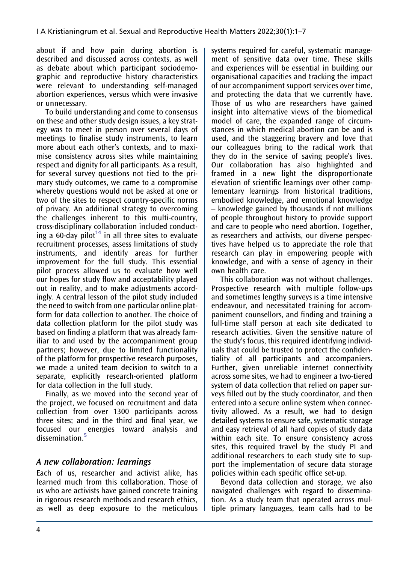about if and how pain during abortion is described and discussed across contexts, as well as debate about which participant sociodemographic and reproductive history characteristics were relevant to understanding self-managed abortion experiences, versus which were invasive or unnecessary.

<span id="page-4-0"></span>To build understanding and come to consensus on these and other study design issues, a key strategy was to meet in person over several days of meetings to finalise study instruments, to learn more about each other's contexts, and to maximise consistency across sites while maintaining respect and dignity for all participants. As a result, for several survey questions not tied to the primary study outcomes, we came to a compromise whereby questions would not be asked at one or two of the sites to respect country-specific norms of privacy. An additional strategy to overcoming the challenges inherent to this multi-country, cross-disciplinary collaboration included conduct-ing a 60-day pilot<sup>[14](#page-7-0)</sup> in all three sites to evaluate recruitment processes, assess limitations of study instruments, and identify areas for further improvement for the full study. This essential pilot process allowed us to evaluate how well our hopes for study flow and acceptability played out in reality, and to make adjustments accordingly. A central lesson of the pilot study included the need to switch from one particular online platform for data collection to another. The choice of data collection platform for the pilot study was based on finding a platform that was already familiar to and used by the accompaniment group partners; however, due to limited functionality of the platform for prospective research purposes, we made a united team decision to switch to a separate, explicitly research-oriented platform for data collection in the full study.

Finally, as we moved into the second year of the project, we focused on recruitment and data collection from over 1300 participants across three sites; and in the third and final year, we focused our energies toward analysis and dissemination.<sup>[5](#page-6-4)</sup>

## A new collaboration: learnings

Each of us, researcher and activist alike, has learned much from this collaboration. Those of us who are activists have gained concrete training in rigorous research methods and research ethics, as well as deep exposure to the meticulous systems required for careful, systematic management of sensitive data over time. These skills and experiences will be essential in building our organisational capacities and tracking the impact of our accompaniment support services over time, and protecting the data that we currently have. Those of us who are researchers have gained insight into alternative views of the biomedical model of care, the expanded range of circumstances in which medical abortion can be and is used, and the staggering bravery and love that our colleagues bring to the radical work that they do in the service of saving people's lives. Our collaboration has also highlighted and framed in a new light the disproportionate elevation of scientific learnings over other complementary learnings from historical traditions, embodied knowledge, and emotional knowledge – knowledge gained by thousands if not millions of people throughout history to provide support and care to people who need abortion. Together, as researchers and activists, our diverse perspectives have helped us to appreciate the role that research can play in empowering people with knowledge, and with a sense of agency in their own health care.

This collaboration was not without challenges. Prospective research with multiple follow-ups and sometimes lengthy surveys is a time intensive endeavour, and necessitated training for accompaniment counsellors, and finding and training a full-time staff person at each site dedicated to research activities. Given the sensitive nature of the study's focus, this required identifying individuals that could be trusted to protect the confidentiality of all participants and accompaniers. Further, given unreliable internet connectivity across some sites, we had to engineer a two-tiered system of data collection that relied on paper surveys filled out by the study coordinator, and then entered into a secure online system when connectivity allowed. As a result, we had to design detailed systems to ensure safe, systematic storage and easy retrieval of all hard copies of study data within each site. To ensure consistency across sites, this required travel by the study PI and additional researchers to each study site to support the implementation of secure data storage policies within each specific office set-up.

Beyond data collection and storage, we also navigated challenges with regard to dissemination. As a study team that operated across multiple primary languages, team calls had to be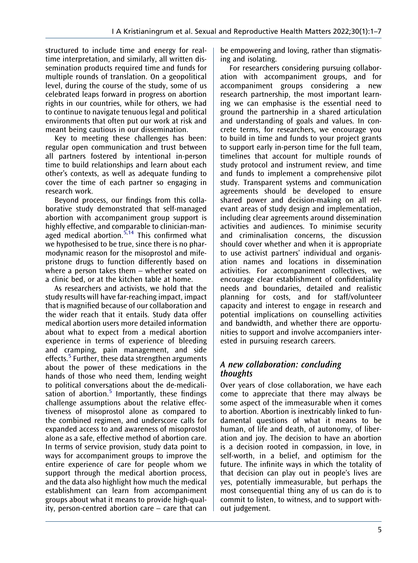structured to include time and energy for realtime interpretation, and similarly, all written dissemination products required time and funds for multiple rounds of translation. On a geopolitical level, during the course of the study, some of us celebrated leaps forward in progress on abortion rights in our countries, while for others, we had to continue to navigate tenuous legal and political environments that often put our work at risk and meant being cautious in our dissemination.

Key to meeting these challenges has been: regular open communication and trust between all partners fostered by intentional in-person time to build relationships and learn about each other's contexts, as well as adequate funding to cover the time of each partner so engaging in research work.

Beyond process, our findings from this collaborative study demonstrated that self-managed abortion with accompaniment group support is highly effective, and comparable to clinician-man-aged medical abortion.<sup>[5,](#page-6-4)[14](#page-7-0)</sup> This confirmed what we hypothesised to be true, since there is no pharmodynamic reason for the misoprostol and mifepristone drugs to function differently based on where a person takes them – whether seated on a clinic bed, or at the kitchen table at home.

As researchers and activists, we hold that the study results will have far-reaching impact, impact that is magnified because of our collaboration and the wider reach that it entails. Study data offer medical abortion users more detailed information about what to expect from a medical abortion experience in terms of experience of bleeding and cramping, pain management, and side effects.<sup>[5](#page-6-4)</sup> Further, these data strengthen arguments about the power of these medications in the hands of those who need them, lending weight to political conversations about the de-medicalisation of abortion. $5$  Importantly, these findings challenge assumptions about the relative effectiveness of misoprostol alone as compared to the combined regimen, and underscore calls for expanded access to and awareness of misoprostol alone as a safe, effective method of abortion care. In terms of service provision, study data point to ways for accompaniment groups to improve the entire experience of care for people whom we support through the medical abortion process, and the data also highlight how much the medical establishment can learn from accompaniment groups about what it means to provide high-quality, person-centred abortion care – care that can

be empowering and loving, rather than stigmatising and isolating.

For researchers considering pursuing collaboration with accompaniment groups, and for accompaniment groups considering a new research partnership, the most important learning we can emphasise is the essential need to ground the partnership in a shared articulation and understanding of goals and values. In concrete terms, for researchers, we encourage you to build in time and funds to your project grants to support early in-person time for the full team, timelines that account for multiple rounds of study protocol and instrument review, and time and funds to implement a comprehensive pilot study. Transparent systems and communication agreements should be developed to ensure shared power and decision-making on all relevant areas of study design and implementation, including clear agreements around dissemination activities and audiences. To minimise security and criminalisation concerns, the discussion should cover whether and when it is appropriate to use activist partners' individual and organisation names and locations in dissemination activities. For accompaniment collectives, we encourage clear establishment of confidentiality needs and boundaries, detailed and realistic planning for costs, and for staff/volunteer capacity and interest to engage in research and potential implications on counselling activities and bandwidth, and whether there are opportunities to support and involve accompaniers interested in pursuing research careers.

## A new collaboration: concluding thoughts

Over years of close collaboration, we have each come to appreciate that there may always be some aspect of the immeasurable when it comes to abortion. Abortion is inextricably linked to fundamental questions of what it means to be human, of life and death, of autonomy, of liberation and joy. The decision to have an abortion is a decision rooted in compassion, in love, in self-worth, in a belief, and optimism for the future. The infinite ways in which the totality of that decision can play out in people's lives are yes, potentially immeasurable, but perhaps the most consequential thing any of us can do is to commit to listen, to witness, and to support without judgement.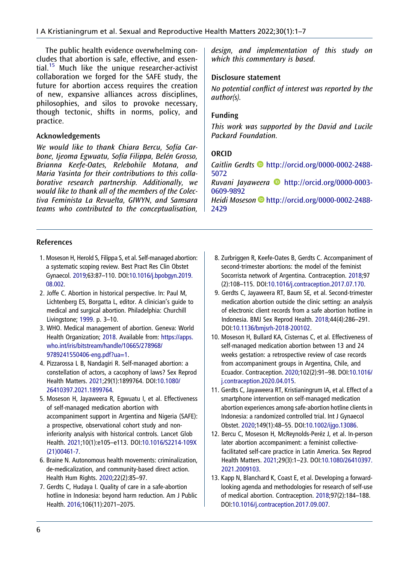<span id="page-6-7"></span>The public health evidence overwhelming concludes that abortion is safe, effective, and essen-tial.<sup>[15](#page-7-1)</sup> Much like the unique researcher-activist collaboration we forged for the SAFE study, the future for abortion access requires the creation of new, expansive alliances across disciplines, philosophies, and silos to provoke necessary, though tectonic, shifts in norms, policy, and practice.

### Acknowledgements

We would like to thank Chiara Bercu, Sofía Carbone, Ijeoma Egwuatu, Sofía Filippa, Belén Grosso, Brianna Keefe-Oates, Relebohile Motana, and Maria Yasinta for their contributions to this collaborative research partnership. Additionally, we would like to thank all of the members of the Colectiva Feminista La Revuelta, GIWYN, and Samsara teams who contributed to the conceptualisation, design, and implementation of this study on which this commentary is based.

#### Disclosure statement

No potential conflict of interest was reported by the author(s).

### Funding

This work was supported by the David and Lucile Packard Foundation.

### ORCID

Caitlin Gerdts [http://orcid.org/0000-0002-2488-](http://orcid.org/0000-0002-2488-5072) [5072](http://orcid.org/0000-0002-2488-5072)

Ruvani Jayaweera [http://orcid.org/0000-0003-](http://orcid.org/0000-0003-0609-9892) [0609-9892](http://orcid.org/0000-0003-0609-9892)

Heidi Moseson D[http://orcid.org/0000-0002-2488-](http://orcid.org/0000-0002-2488-2429) [2429](http://orcid.org/0000-0002-2488-2429)

#### References

- <span id="page-6-0"></span>1. Moseson H, Herold S, Filippa S, et al. Self-managed abortion: a systematic scoping review. Best Pract Res Clin Obstet Gynaecol. [2019](#page-1-0);63:87–110. DOI[:10.1016/j.bpobgyn.2019.](https://doi.org/10.1016/j.bpobgyn.2019.08.002) [08.002](https://doi.org/10.1016/j.bpobgyn.2019.08.002).
- <span id="page-6-1"></span>2. Joffe C. Abortion in historical perspective. In: Paul M, Lichtenberg ES, Borgatta L, editor. A clinician's guide to medical and surgical abortion. Philadelphia: Churchill Livingstone; [1999.](#page-1-1) p. 3–10.
- <span id="page-6-2"></span>3. WHO. Medical management of abortion. Geneva: World Health Organization; [2018](#page-1-2). Available from: [https://apps.](https://apps.who.int/iris/bitstream/handle/10665/278968/9789241550406-eng.pdf?ua=1) [who.int/iris/bitstream/handle/10665/278968/](https://apps.who.int/iris/bitstream/handle/10665/278968/9789241550406-eng.pdf?ua=1) [9789241550406-eng.pdf?ua=1](https://apps.who.int/iris/bitstream/handle/10665/278968/9789241550406-eng.pdf?ua=1).
- <span id="page-6-3"></span>4. Pizzarossa L B, Nandagiri R. Self-managed abortion: a constellation of actors, a cacophony of laws? Sex Reprod Health Matters. [2021;](#page-1-3)29(1):1899764. DOI[:10.1080/](https://doi.org/10.1080/26410397.2021.1899764) [26410397.2021.1899764.](https://doi.org/10.1080/26410397.2021.1899764)
- <span id="page-6-4"></span>5. Moseson H, Jayaweera R, Egwuatu I, et al. Effectiveness of self-managed medication abortion with accompaniment support in Argentina and Nigeria (SAFE): a prospective, observational cohort study and noninferiority analysis with historical controls. Lancet Glob Health. [2021;](#page-1-4)10(1):e105–e113. DOI[:10.1016/S2214-109X](https://doi.org/10.1016/S2214-109X(21)00461-7) [\(21\)00461-7](https://doi.org/10.1016/S2214-109X(21)00461-7).
- <span id="page-6-5"></span>6. Braine N. Autonomous health movements: criminalization, de-medicalization, and community-based direct action. Health Hum Rights. [2020](#page-2-0);22(2):85–97.
- 7. Gerdts C, Hudaya I. Quality of care in a safe-abortion hotline in Indonesia: beyond harm reduction. Am J Public Health. [2016](#page-2-1);106(11):2071–2075.
- 8. Zurbriggen R, Keefe-Oates B, Gerdts C. Accompaniment of second-trimester abortions: the model of the feminist Socorrista network of Argentina. Contraception. 2018;97 (2):108–115. DOI[:10.1016/j.contraception.2017.07.170](https://doi.org/10.1016/j.contraception.2017.07.170).
- 9. Gerdts C, Jayaweera RT, Baum SE, et al. Second-trimester medication abortion outside the clinic setting: an analysis of electronic client records from a safe abortion hotline in Indonesia. BMJ Sex Reprod Health. 2018;44(4):286–291. DOI:[10.1136/bmjsrh-2018-200102](https://doi.org/10.1136/bmjsrh-2018-200102).
- 10. Moseson H, Bullard KA, Cisternas C, et al. Effectiveness of self-managed medication abortion between 13 and 24 weeks gestation: a retrospective review of case records from accompaniment groups in Argentina, Chile, and Ecuador. Contraception. 2020;102(2):91–98. DOI[:10.1016/](https://doi.org/10.1016/j.contraception.2020.04.015) [j.contraception.2020.04.015](https://doi.org/10.1016/j.contraception.2020.04.015).
- 11. Gerdts C, Jayaweera RT, Kristianingrum IA, et al. Effect of a smartphone intervention on self-managed medication abortion experiences among safe-abortion hotline clients in Indonesia: a randomized controlled trial. Int J Gynaecol Obstet. 2020;149(1):48–55. DOI:[10.1002/ijgo.13086.](https://doi.org/10.1002/ijgo.13086)
- 12. Bercu C, Moseson H, McReynolds-Peréz J, et al. In-person later abortion accompaniment: a feminist collectivefacilitated self-care practice in Latin America. Sex Reprod Health Matters. 2021;29(3):1–23. DOI[:10.1080/26410397.](https://doi.org/10.1080/26410397.2021.2009103) [2021.2009103](https://doi.org/10.1080/26410397.2021.2009103).
- <span id="page-6-6"></span>13. Kapp N, Blanchard K, Coast E, et al. Developing a forwardlooking agenda and methodologies for research of self-use of medical abortion. Contraception. [2018;](#page-3-0)97(2):184–188. DOI[:10.1016/j.contraception.2017.09.007.](https://doi.org/10.1016/j.contraception.2017.09.007)